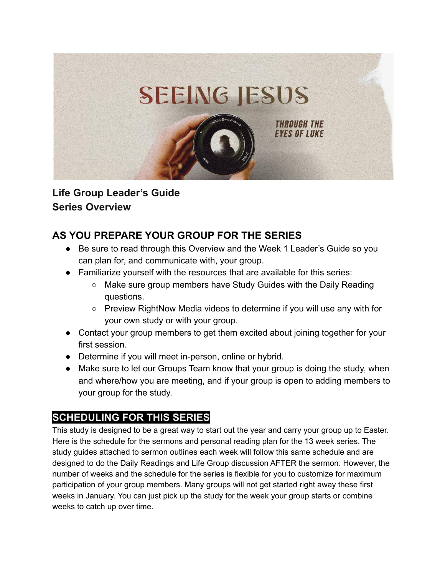

## **Life Group Leader's Guide Series Overview**

# **AS YOU PREPARE YOUR GROUP FOR THE SERIES**

- Be sure to read through this Overview and the Week 1 Leader's Guide so you can plan for, and communicate with, your group.
- Familiarize yourself with the resources that are available for this series:
	- Make sure group members have Study Guides with the Daily Reading questions.
	- Preview RightNow Media videos to determine if you will use any with for your own study or with your group.
- Contact your group members to get them excited about joining together for your first session.
- Determine if you will meet in-person, online or hybrid.
- Make sure to let our Groups Team know that your group is doing the study, when and where/how you are meeting, and if your group is open to adding members to your group for the study.

# **SCHEDULING FOR THIS SERIES**

This study is designed to be a great way to start out the year and carry your group up to Easter. Here is the schedule for the sermons and personal reading plan for the 13 week series. The study guides attached to sermon outlines each week will follow this same schedule and are designed to do the Daily Readings and Life Group discussion AFTER the sermon. However, the number of weeks and the schedule for the series is flexible for you to customize for maximum participation of your group members. Many groups will not get started right away these first weeks in January. You can just pick up the study for the week your group starts or combine weeks to catch up over time.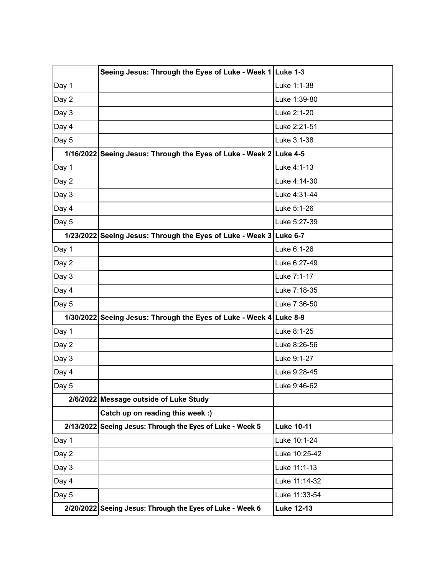|       | Seeing Jesus: Through the Eyes of Luke - Week 1 Luke 1-3           |                   |
|-------|--------------------------------------------------------------------|-------------------|
| Day 1 |                                                                    | Luke 1:1-38       |
| Day 2 |                                                                    | Luke 1:39-80      |
| Day 3 |                                                                    | Luke 2:1-20       |
| Day 4 |                                                                    | Luke 2:21-51      |
| Day 5 |                                                                    | Luke 3:1-38       |
|       | 1/16/2022 Seeing Jesus: Through the Eyes of Luke - Week 2 Luke 4-5 |                   |
| Day 1 |                                                                    | Luke 4:1-13       |
| Day 2 |                                                                    | Luke 4:14-30      |
| Day 3 |                                                                    | Luke 4:31-44      |
| Day 4 |                                                                    | Luke 5:1-26       |
| Day 5 |                                                                    | Luke 5:27-39      |
|       | 1/23/2022 Seeing Jesus: Through the Eyes of Luke - Week 3 Luke 6-7 |                   |
| Day 1 |                                                                    | Luke 6:1-26       |
| Day 2 |                                                                    | Luke 6:27-49      |
| Day 3 |                                                                    | Luke 7:1-17       |
| Day 4 |                                                                    | Luke 7:18-35      |
| Day 5 |                                                                    | Luke 7:36-50      |
|       | 1/30/2022 Seeing Jesus: Through the Eyes of Luke - Week 4 Luke 8-9 |                   |
| Day 1 |                                                                    | Luke 8:1-25       |
| Day 2 |                                                                    | Luke 8:26-56      |
| Day 3 |                                                                    | Luke 9:1-27       |
| Day 4 |                                                                    | Luke 9:28-45      |
| Day 5 |                                                                    | Luke 9:46-62      |
|       | 2/6/2022 Message outside of Luke Study                             |                   |
|       | Catch up on reading this week :)                                   |                   |
|       | 2/13/2022 Seeing Jesus: Through the Eyes of Luke - Week 5          | <b>Luke 10-11</b> |
| Day 1 |                                                                    | Luke 10:1-24      |
| Day 2 |                                                                    | Luke 10:25-42     |
| Day 3 |                                                                    | Luke 11:1-13      |
| Day 4 |                                                                    | Luke 11:14-32     |
| Day 5 |                                                                    | Luke 11:33-54     |
|       | 2/20/2022 Seeing Jesus: Through the Eyes of Luke - Week 6          | <b>Luke 12-13</b> |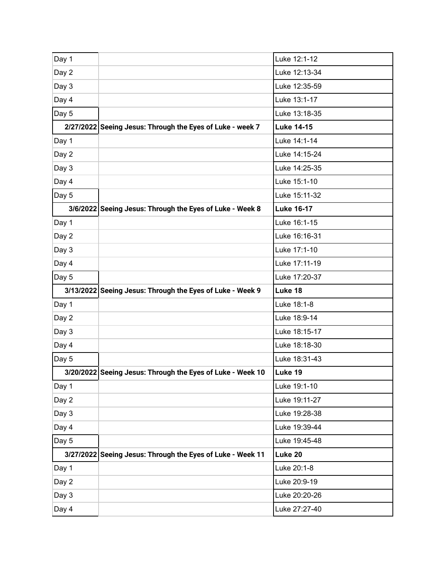| Day 1 |                                                            | Luke 12:1-12      |
|-------|------------------------------------------------------------|-------------------|
| Day 2 |                                                            | Luke 12:13-34     |
| Day 3 |                                                            | Luke 12:35-59     |
| Day 4 |                                                            | Luke 13:1-17      |
| Day 5 |                                                            | Luke 13:18-35     |
|       | 2/27/2022 Seeing Jesus: Through the Eyes of Luke - week 7  | <b>Luke 14-15</b> |
| Day 1 |                                                            | Luke 14:1-14      |
| Day 2 |                                                            | Luke 14:15-24     |
| Day 3 |                                                            | Luke 14:25-35     |
| Day 4 |                                                            | Luke 15:1-10      |
| Day 5 |                                                            | Luke 15:11-32     |
|       | 3/6/2022 Seeing Jesus: Through the Eyes of Luke - Week 8   | <b>Luke 16-17</b> |
| Day 1 |                                                            | Luke 16:1-15      |
| Day 2 |                                                            | Luke 16:16-31     |
| Day 3 |                                                            | Luke 17:1-10      |
| Day 4 |                                                            | Luke 17:11-19     |
| Day 5 |                                                            | Luke 17:20-37     |
|       |                                                            |                   |
|       | 3/13/2022 Seeing Jesus: Through the Eyes of Luke - Week 9  | Luke 18           |
| Day 1 |                                                            | Luke 18:1-8       |
| Day 2 |                                                            | Luke 18:9-14      |
| Day 3 |                                                            | Luke 18:15-17     |
| Day 4 |                                                            | Luke 18:18-30     |
| Day 5 |                                                            | Luke 18:31-43     |
|       | 3/20/2022 Seeing Jesus: Through the Eyes of Luke - Week 10 | Luke 19           |
| Day 1 |                                                            | Luke 19:1-10      |
| Day 2 |                                                            | Luke 19:11-27     |
| Day 3 |                                                            | Luke 19:28-38     |
| Day 4 |                                                            | Luke 19:39-44     |
| Day 5 |                                                            | Luke 19:45-48     |
|       | 3/27/2022 Seeing Jesus: Through the Eyes of Luke - Week 11 | Luke 20           |
| Day 1 |                                                            | Luke 20:1-8       |
| Day 2 |                                                            | Luke 20:9-19      |
| Day 3 |                                                            | Luke 20:20-26     |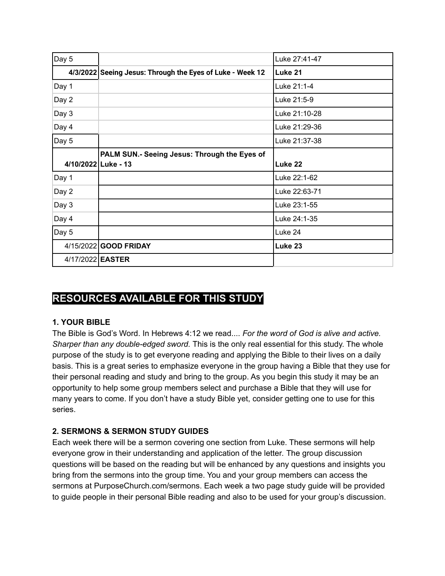| Day 5 |                                                           | Luke 27:41-47 |
|-------|-----------------------------------------------------------|---------------|
|       | 4/3/2022 Seeing Jesus: Through the Eyes of Luke - Week 12 | Luke 21       |
| Day 1 |                                                           | Luke 21:1-4   |
| Day 2 |                                                           | Luke 21:5-9   |
| Day 3 |                                                           | Luke 21:10-28 |
| Day 4 |                                                           | Luke 21:29-36 |
| Day 5 |                                                           | Luke 21:37-38 |
|       | PALM SUN.- Seeing Jesus: Through the Eyes of              |               |
|       | 4/10/2022 Luke - 13                                       | Luke 22       |
| Day 1 |                                                           | Luke 22:1-62  |
|       |                                                           |               |
| Day 2 |                                                           | Luke 22:63-71 |
| Day 3 |                                                           | Luke 23:1-55  |
| Day 4 |                                                           | Luke 24:1-35  |
| Day 5 |                                                           | Luke 24       |
|       | 4/15/2022 GOOD FRIDAY                                     | Luke 23       |

# **RESOURCES AVAILABLE FOR THIS STUDY**

### **1. YOUR BIBLE**

The Bible is God's Word. In Hebrews 4:12 we read.... *For the word of God is alive and active. Sharper than any double-edged sword.* This is the only real essential for this study. The whole purpose of the study is to get everyone reading and applying the Bible to their lives on a daily basis. This is a great series to emphasize everyone in the group having a Bible that they use for their personal reading and study and bring to the group. As you begin this study it may be an opportunity to help some group members select and purchase a Bible that they will use for many years to come. If you don't have a study Bible yet, consider getting one to use for this series.

### **2. SERMONS & SERMON STUDY GUIDES**

Each week there will be a sermon covering one section from Luke. These sermons will help everyone grow in their understanding and application of the letter*.* The group discussion questions will be based on the reading but will be enhanced by any questions and insights you bring from the sermons into the group time. You and your group members can access the sermons at PurposeChurch.com/sermons. Each week a two page study guide will be provided to guide people in their personal Bible reading and also to be used for your group's discussion.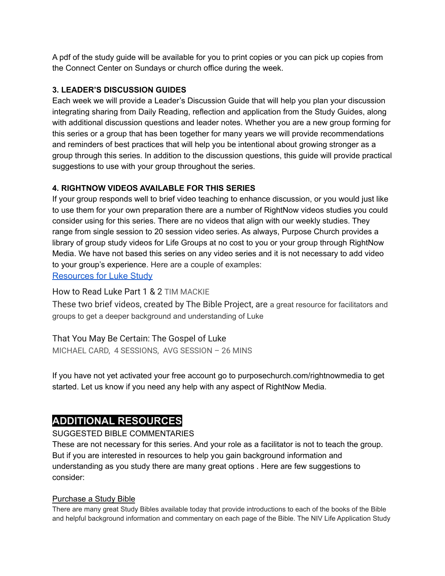A pdf of the study guide will be available for you to print copies or you can pick up copies from the Connect Center on Sundays or church office during the week.

### **3. LEADER'S DISCUSSION GUIDES**

Each week we will provide a Leader's Discussion Guide that will help you plan your discussion integrating sharing from Daily Reading, reflection and application from the Study Guides, along with additional discussion questions and leader notes. Whether you are a new group forming for this series or a group that has been together for many years we will provide recommendations and reminders of best practices that will help you be intentional about growing stronger as a group through this series. In addition to the discussion questions, this guide will provide practical suggestions to use with your group throughout the series.

### **4. RIGHTNOW VIDEOS AVAILABLE FOR THIS SERIES**

If your group responds well to brief video teaching to enhance discussion, or you would just like to use them for your own preparation there are a number of RightNow videos studies you could consider using for this series. There are no videos that align with our weekly studies. They range from single session to 20 session video series. As always, Purpose Church provides a library of group study videos for Life Groups at no cost to you or your group through RightNow Media. We have not based this series on any video series and it is not necessary to add video to your group's experience. Here are a couple of examples:

## [Resources for Luke Study](https://app.rightnowmedia.org/en/browse/search?query=luke)

### How to Read Luke Part 1 & 2 TIM MACKIE

These two brief videos, created by The Bible Project, are a great resource for facilitators and groups to get a deeper background and understanding of Luke

### That You May Be Certain: The Gospel of Luke

MICHAEL CARD, 4 SESSIONS, AVG SESSION – 26 MINS

If you have not yet activated your free account go to purposechurch.com/rightnowmedia to get started. Let us know if you need any help with any aspect of RightNow Media.

## **ADDITIONAL RESOURCES**

### SUGGESTED BIBLE COMMENTARIES

These are not necessary for this series. And your role as a facilitator is not to teach the group. But if you are interested in resources to help you gain background information and understanding as you study there are many great options . Here are few suggestions to consider:

### Purchase a Study Bible

There are many great Study Bibles available today that provide introductions to each of the books of the Bible and helpful background information and commentary on each page of the Bible. The NIV Life Application Study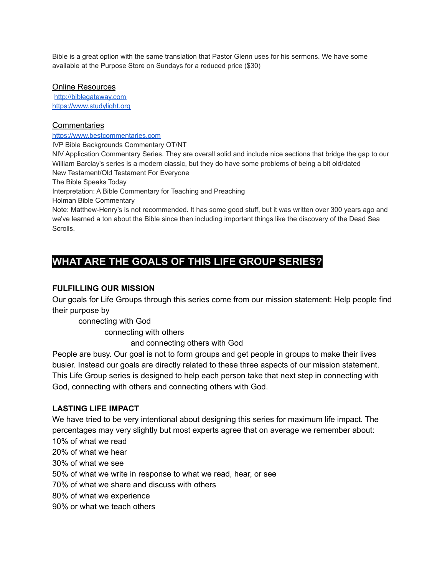Bible is a great option with the same translation that Pastor Glenn uses for his sermons. We have some available at the Purpose Store on Sundays for a reduced price (\$30)

#### Online Resources

[http://biblegateway.com](http://biblegateway.com/) [https://www.studylight.org](https://www.studylight.org/)

#### **Commentaries**

[https://www.bestcommentaries.com](https://www.bestcommentaries.com/)

IVP Bible Backgrounds Commentary OT/NT

NIV Application Commentary Series. They are overall solid and include nice sections that bridge the gap to our William Barclay's series is a modern classic, but they do have some problems of being a bit old/dated New Testament/Old Testament For Everyone

The Bible Speaks Today

Interpretation: A Bible Commentary for Teaching and Preaching

Holman Bible Commentary

Note: Matthew-Henry's is not recommended. It has some good stuff, but it was written over 300 years ago and we've learned a ton about the Bible since then including important things like the discovery of the Dead Sea Scrolls.

## **WHAT ARE THE GOALS OF THIS LIFE GROUP SERIES?**

#### **FULFILLING OUR MISSION**

Our goals for Life Groups through this series come from our mission statement: Help people find their purpose by

connecting with God

connecting with others

and connecting others with God

People are busy. Our goal is not to form groups and get people in groups to make their lives busier. Instead our goals are directly related to these three aspects of our mission statement. This Life Group series is designed to help each person take that next step in connecting with God, connecting with others and connecting others with God.

#### **LASTING LIFE IMPACT**

We have tried to be very intentional about designing this series for maximum life impact. The percentages may very slightly but most experts agree that on average we remember about: 10% of what we read 20% of what we hear 30% of what we see 50% of what we write in response to what we read, hear, or see 70% of what we share and discuss with others 80% of what we experience 90% or what we teach others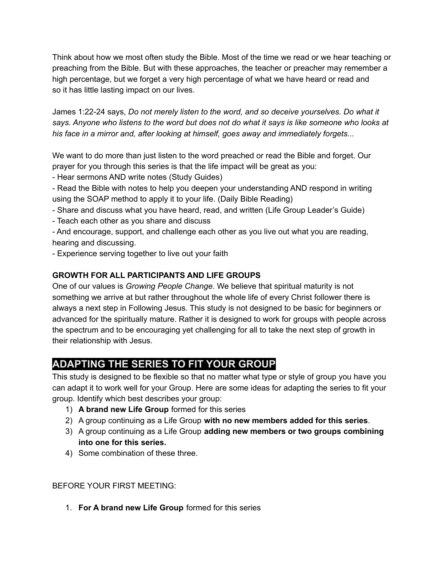Think about how we most often study the Bible. Most of the time we read or we hear teaching or preaching from the Bible. But with these approaches, the teacher or preacher may remember a high percentage, but we forget a very high percentage of what we have heard or read and so it has little lasting impact on our lives.

James 1:22-24 says, *Do not merely listen to the word, and so deceive yourselves. Do what it* says. Anyone who listens to the word but does not do what it says is like someone who looks at *his face in a mirror and, after looking at himself, goes away and immediately forgets...*

We want to do more than just listen to the word preached or read the Bible and forget. Our prayer for you through this series is that the life impact will be great as you:

- Hear sermons AND write notes (Study Guides)

- Read the Bible with notes to help you deepen your understanding AND respond in writing using the SOAP method to apply it to your life. (Daily Bible Reading)

- Share and discuss what you have heard, read, and written (Life Group Leader's Guide)
- Teach each other as you share and discuss

- And encourage, support, and challenge each other as you live out what you are reading, hearing and discussing.

- Experience serving together to live out your faith

### **GROWTH FOR ALL PARTICIPANTS AND LIFE GROUPS**

One of our values is *Growing People Change*. We believe that spiritual maturity is not something we arrive at but rather throughout the whole life of every Christ follower there is always a next step in Following Jesus. This study is not designed to be basic for beginners or advanced for the spiritually mature. Rather it is designed to work for groups with people across the spectrum and to be encouraging yet challenging for all to take the next step of growth in their relationship with Jesus.

# **ADAPTING THE SERIES TO FIT YOUR GROUP**

This study is designed to be flexible so that no matter what type or style of group you have you can adapt it to work well for your Group. Here are some ideas for adapting the series to fit your group. Identify which best describes your group:

- 1) **A brand new Life Group** formed for this series
- 2) A group continuing as a Life Group **with no new members added for this series**.
- 3) A group continuing as a Life Group **adding new members or two groups combining into one for this series.**
- 4) Some combination of these three.

BEFORE YOUR FIRST MEETING:

1. **For A brand new Life Group** formed for this series